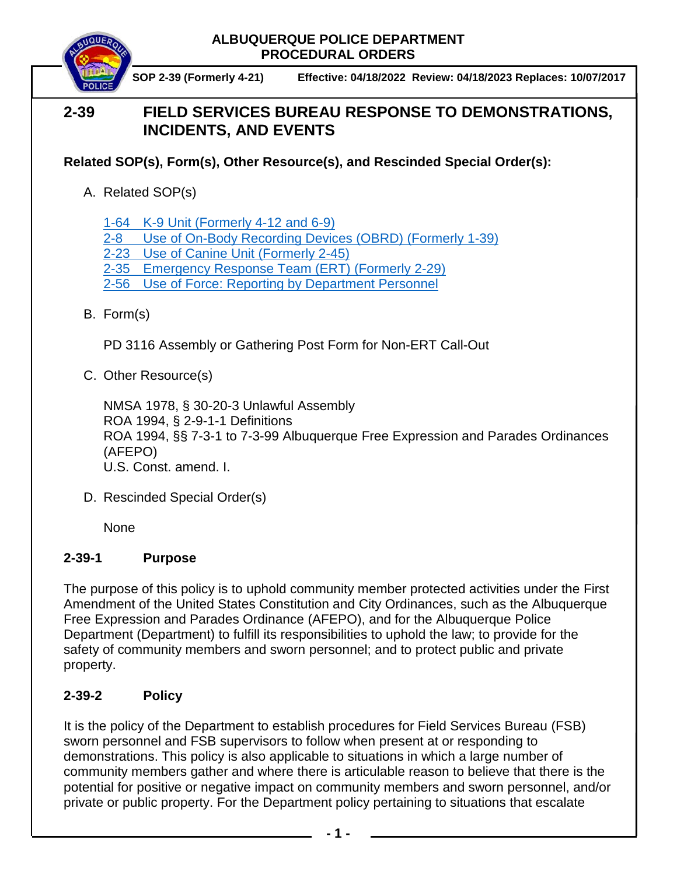

 **SOP 2-39 (Formerly 4-21) Effective: 04/18/2022 Review: 04/18/2023 Replaces: 10/07/2017**

# **2-39 FIELD SERVICES BUREAU RESPONSE TO DEMONSTRATIONS, INCIDENTS, AND EVENTS**

**Related SOP(s), Form(s), Other Resource(s), and Rescinded Special Order(s):**

A. Related SOP(s)

1-64 K-9 Unit [\(Formerly 4-12 and 6-9\)](https://powerdms.com/docs/960?q=1-64)

- 2-8 [Use of On-Body Recording Devices \(OBRD\)](https://powerdms.com/docs/1137?q=2-8) (Formerly 1-39)
- 2-23 [Use of Canine Unit](https://powerdms.com/docs/128?q=2-23) (Formerly 2-45)

2-35 [Emergency Response Team \(ERT\)](https://powerdms.com/docs/68?q=2-35) (Formerly 2-29)

- 2-56 Use of Force: [Reporting by Department Personnel](https://powerdms.com/docs/1897084?q=true)
- B. Form(s)

PD 3116 Assembly or Gathering Post Form for Non-ERT Call-Out

C. Other Resource(s)

NMSA 1978, § 30-20-3 Unlawful Assembly ROA 1994, § 2-9-1-1 Definitions ROA 1994, §§ 7-3-1 to 7-3-99 Albuquerque Free Expression and Parades Ordinances (AFEPO) U.S. Const. amend. I.

D. Rescinded Special Order(s)

None

# **2-39-1 Purpose**

The purpose of this policy is to uphold community member protected activities under the First Amendment of the United States Constitution and City Ordinances, such as the Albuquerque Free Expression and Parades Ordinance (AFEPO), and for the Albuquerque Police Department (Department) to fulfill its responsibilities to uphold the law; to provide for the safety of community members and sworn personnel; and to protect public and private property.

# **2-39-2 Policy**

It is the policy of the Department to establish procedures for Field Services Bureau (FSB) sworn personnel and FSB supervisors to follow when present at or responding to demonstrations. This policy is also applicable to situations in which a large number of community members gather and where there is articulable reason to believe that there is the potential for positive or negative impact on community members and sworn personnel, and/or private or public property. For the Department policy pertaining to situations that escalate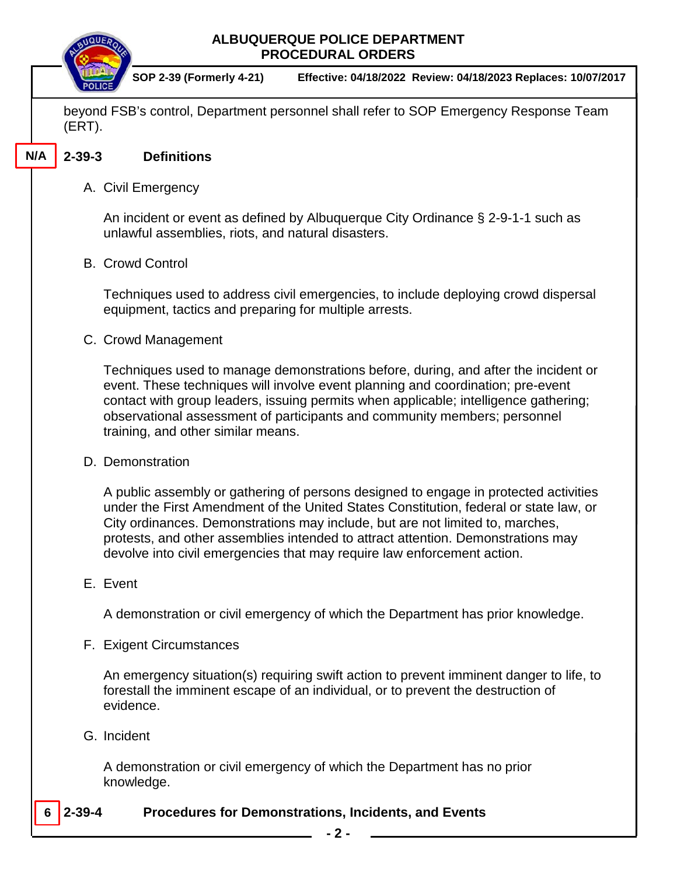

 **SOP 2-39 (Formerly 4-21) Effective: 04/18/2022 Review: 04/18/2023 Replaces: 10/07/2017**

beyond FSB's control, Department personnel shall refer to SOP Emergency Response Team (ERT).

#### **2-39-3 Definitions N/A**

# A. Civil Emergency

An incident or event as defined by Albuquerque City Ordinance § 2-9-1-1 such as unlawful assemblies, riots, and natural disasters.

# B. Crowd Control

Techniques used to address civil emergencies, to include deploying crowd dispersal equipment, tactics and preparing for multiple arrests.

# C. Crowd Management

Techniques used to manage demonstrations before, during, and after the incident or event. These techniques will involve event planning and coordination; pre-event contact with group leaders, issuing permits when applicable; intelligence gathering; observational assessment of participants and community members; personnel training, and other similar means.

#### D. Demonstration

A public assembly or gathering of persons designed to engage in protected activities under the First Amendment of the United States Constitution, federal or state law, or City ordinances. Demonstrations may include, but are not limited to, marches, protests, and other assemblies intended to attract attention. Demonstrations may devolve into civil emergencies that may require law enforcement action.

# E. Event

A demonstration or civil emergency of which the Department has prior knowledge.

# F. Exigent Circumstances

An emergency situation(s) requiring swift action to prevent imminent danger to life, to forestall the imminent escape of an individual, or to prevent the destruction of evidence.

# G. Incident

A demonstration or civil emergency of which the Department has no prior knowledge.

#### **2-39-4 Procedures for Demonstrations, Incidents, and Events 6**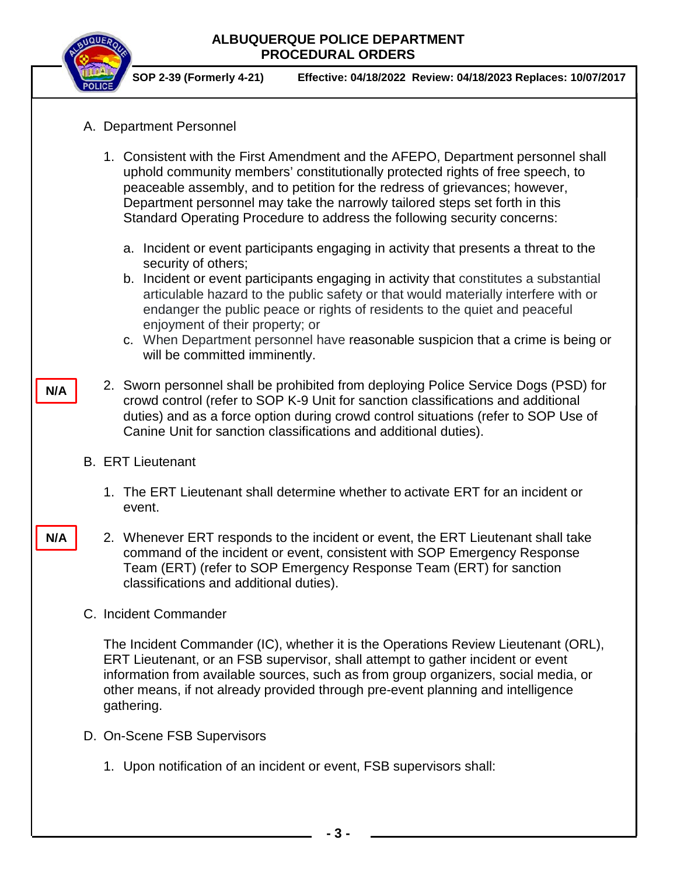

 **SOP 2-39 (Formerly 4-21) Effective: 04/18/2022 Review: 04/18/2023 Replaces: 10/07/2017**

- A. Department Personnel
	- 1. Consistent with the First Amendment and the AFEPO, Department personnel shall uphold community members' constitutionally protected rights of free speech, to peaceable assembly, and to petition for the redress of grievances; however, Department personnel may take the narrowly tailored steps set forth in this Standard Operating Procedure to address the following security concerns:
		- a. Incident or event participants engaging in activity that presents a threat to the security of others;
		- b. Incident or event participants engaging in activity that constitutes a substantial articulable hazard to the public safety or that would materially interfere with or endanger the public peace or rights of residents to the quiet and peaceful enjoyment of their property; or
		- c. When Department personnel have reasonable suspicion that a crime is being or will be committed imminently.
- 2. Sworn personnel shall be prohibited from deploying Police Service Dogs (PSD) for crowd control (refer to SOP K-9 Unit for sanction classifications and additional duties) and as a force option during crowd control situations (refer to SOP Use of Canine Unit for sanction classifications and additional duties).
- B. ERT Lieutenant

**N/A**

**N/A**

- 1. The ERT Lieutenant shall determine whether to activate ERT for an incident or event.
- 2. Whenever ERT responds to the incident or event, the ERT Lieutenant shall take command of the incident or event, consistent with SOP Emergency Response Team (ERT) (refer to SOP Emergency Response Team (ERT) for sanction classifications and additional duties).
- C. Incident Commander

The Incident Commander (IC), whether it is the Operations Review Lieutenant (ORL), ERT Lieutenant, or an FSB supervisor, shall attempt to gather incident or event information from available sources, such as from group organizers, social media, or other means, if not already provided through pre-event planning and intelligence gathering.

- D. On-Scene FSB Supervisors
	- 1. Upon notification of an incident or event, FSB supervisors shall: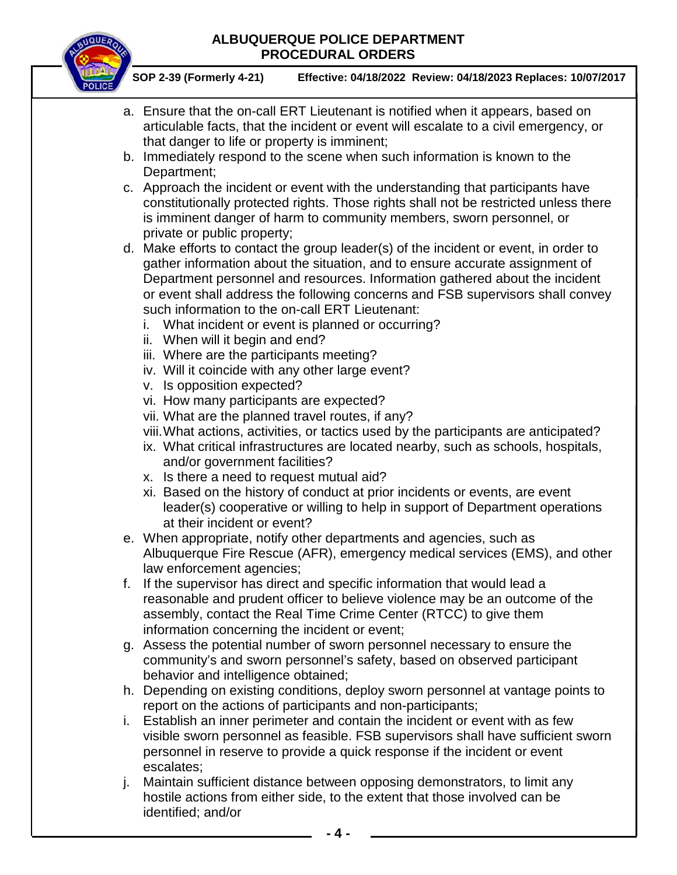

 **SOP 2-39 (Formerly 4-21) Effective: 04/18/2022 Review: 04/18/2023 Replaces: 10/07/2017**

- a. Ensure that the on-call ERT Lieutenant is notified when it appears, based on articulable facts, that the incident or event will escalate to a civil emergency, or that danger to life or property is imminent;
- b. Immediately respond to the scene when such information is known to the Department;
- c. Approach the incident or event with the understanding that participants have constitutionally protected rights. Those rights shall not be restricted unless there is imminent danger of harm to community members, sworn personnel, or private or public property;
- d. Make efforts to contact the group leader(s) of the incident or event, in order to gather information about the situation, and to ensure accurate assignment of Department personnel and resources. Information gathered about the incident or event shall address the following concerns and FSB supervisors shall convey such information to the on-call ERT Lieutenant:
	- i. What incident or event is planned or occurring?
	- ii. When will it begin and end?
	- iii. Where are the participants meeting?
	- iv. Will it coincide with any other large event?
	- v. Is opposition expected?
	- vi. How many participants are expected?
	- vii. What are the planned travel routes, if any?
	- viii.What actions, activities, or tactics used by the participants are anticipated?
	- ix. What critical infrastructures are located nearby, such as schools, hospitals, and/or government facilities?
	- x. Is there a need to request mutual aid?
	- xi. Based on the history of conduct at prior incidents or events, are event leader(s) cooperative or willing to help in support of Department operations at their incident or event?
- e. When appropriate, notify other departments and agencies, such as Albuquerque Fire Rescue (AFR), emergency medical services (EMS), and other law enforcement agencies;
- f. If the supervisor has direct and specific information that would lead a reasonable and prudent officer to believe violence may be an outcome of the assembly, contact the Real Time Crime Center (RTCC) to give them information concerning the incident or event;
- g. Assess the potential number of sworn personnel necessary to ensure the community's and sworn personnel's safety, based on observed participant behavior and intelligence obtained;
- h. Depending on existing conditions, deploy sworn personnel at vantage points to report on the actions of participants and non-participants;
- i. Establish an inner perimeter and contain the incident or event with as few visible sworn personnel as feasible. FSB supervisors shall have sufficient sworn personnel in reserve to provide a quick response if the incident or event escalates;
- j. Maintain sufficient distance between opposing demonstrators, to limit any hostile actions from either side, to the extent that those involved can be identified; and/or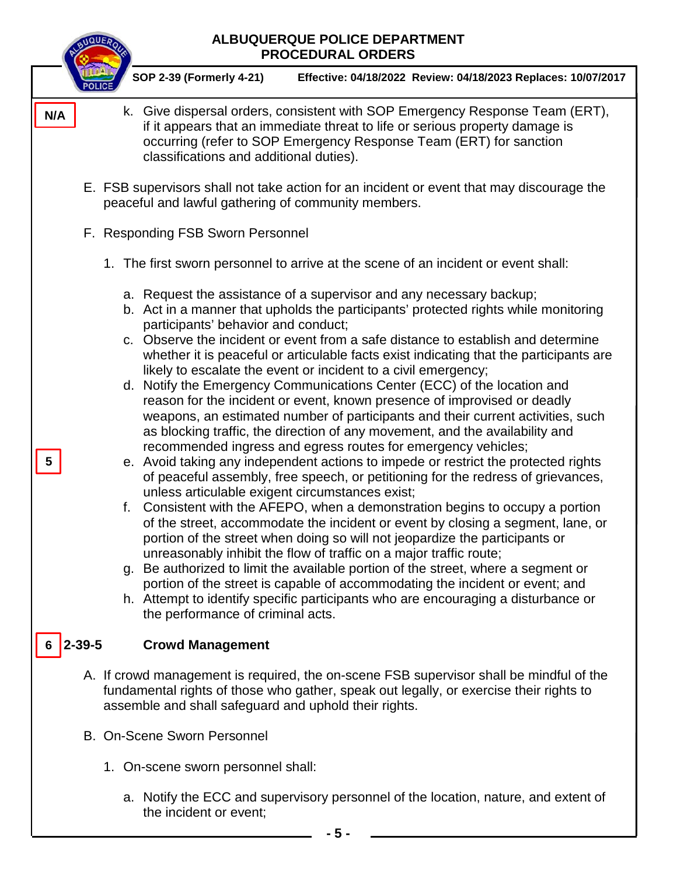| <b>ALBUQUERQUE POLICE DEPARTMENT</b><br><b>PROCEDURAL ORDERS</b>                                                                                                                                                                                                                                                                                                                                                                                                                                                                                                                                                                                                                                                                                                                                                                                                                                                                                                                                                                                                                                                                                                                                                                                                                                                                                                                                                                                                                                                                                                                                                                                                                                       |  |
|--------------------------------------------------------------------------------------------------------------------------------------------------------------------------------------------------------------------------------------------------------------------------------------------------------------------------------------------------------------------------------------------------------------------------------------------------------------------------------------------------------------------------------------------------------------------------------------------------------------------------------------------------------------------------------------------------------------------------------------------------------------------------------------------------------------------------------------------------------------------------------------------------------------------------------------------------------------------------------------------------------------------------------------------------------------------------------------------------------------------------------------------------------------------------------------------------------------------------------------------------------------------------------------------------------------------------------------------------------------------------------------------------------------------------------------------------------------------------------------------------------------------------------------------------------------------------------------------------------------------------------------------------------------------------------------------------------|--|
| SOP 2-39 (Formerly 4-21)<br>Effective: 04/18/2022 Review: 04/18/2023 Replaces: 10/07/2017                                                                                                                                                                                                                                                                                                                                                                                                                                                                                                                                                                                                                                                                                                                                                                                                                                                                                                                                                                                                                                                                                                                                                                                                                                                                                                                                                                                                                                                                                                                                                                                                              |  |
| k. Give dispersal orders, consistent with SOP Emergency Response Team (ERT),<br>N/A<br>if it appears that an immediate threat to life or serious property damage is<br>occurring (refer to SOP Emergency Response Team (ERT) for sanction<br>classifications and additional duties).                                                                                                                                                                                                                                                                                                                                                                                                                                                                                                                                                                                                                                                                                                                                                                                                                                                                                                                                                                                                                                                                                                                                                                                                                                                                                                                                                                                                                   |  |
| E. FSB supervisors shall not take action for an incident or event that may discourage the<br>peaceful and lawful gathering of community members.                                                                                                                                                                                                                                                                                                                                                                                                                                                                                                                                                                                                                                                                                                                                                                                                                                                                                                                                                                                                                                                                                                                                                                                                                                                                                                                                                                                                                                                                                                                                                       |  |
| F. Responding FSB Sworn Personnel                                                                                                                                                                                                                                                                                                                                                                                                                                                                                                                                                                                                                                                                                                                                                                                                                                                                                                                                                                                                                                                                                                                                                                                                                                                                                                                                                                                                                                                                                                                                                                                                                                                                      |  |
| 1. The first sworn personnel to arrive at the scene of an incident or event shall:                                                                                                                                                                                                                                                                                                                                                                                                                                                                                                                                                                                                                                                                                                                                                                                                                                                                                                                                                                                                                                                                                                                                                                                                                                                                                                                                                                                                                                                                                                                                                                                                                     |  |
| a. Request the assistance of a supervisor and any necessary backup;<br>b. Act in a manner that upholds the participants' protected rights while monitoring<br>participants' behavior and conduct;<br>c. Observe the incident or event from a safe distance to establish and determine<br>whether it is peaceful or articulable facts exist indicating that the participants are<br>likely to escalate the event or incident to a civil emergency;<br>d. Notify the Emergency Communications Center (ECC) of the location and<br>reason for the incident or event, known presence of improvised or deadly<br>weapons, an estimated number of participants and their current activities, such<br>as blocking traffic, the direction of any movement, and the availability and<br>recommended ingress and egress routes for emergency vehicles;<br>e. Avoid taking any independent actions to impede or restrict the protected rights<br>5<br>of peaceful assembly, free speech, or petitioning for the redress of grievances,<br>unless articulable exigent circumstances exist;<br>f. Consistent with the AFEPO, when a demonstration begins to occupy a portion<br>of the street, accommodate the incident or event by closing a segment, lane, or<br>portion of the street when doing so will not jeopardize the participants or<br>unreasonably inhibit the flow of traffic on a major traffic route;<br>g. Be authorized to limit the available portion of the street, where a segment or<br>portion of the street is capable of accommodating the incident or event; and<br>h. Attempt to identify specific participants who are encouraging a disturbance or<br>the performance of criminal acts. |  |
| $2 - 39 - 5$<br><b>Crowd Management</b>                                                                                                                                                                                                                                                                                                                                                                                                                                                                                                                                                                                                                                                                                                                                                                                                                                                                                                                                                                                                                                                                                                                                                                                                                                                                                                                                                                                                                                                                                                                                                                                                                                                                |  |
| A. If crowd management is required, the on-scene FSB supervisor shall be mindful of the<br>fundamental rights of those who gather, speak out legally, or exercise their rights to<br>assemble and shall safeguard and uphold their rights.                                                                                                                                                                                                                                                                                                                                                                                                                                                                                                                                                                                                                                                                                                                                                                                                                                                                                                                                                                                                                                                                                                                                                                                                                                                                                                                                                                                                                                                             |  |
| <b>B. On-Scene Sworn Personnel</b>                                                                                                                                                                                                                                                                                                                                                                                                                                                                                                                                                                                                                                                                                                                                                                                                                                                                                                                                                                                                                                                                                                                                                                                                                                                                                                                                                                                                                                                                                                                                                                                                                                                                     |  |
| 1. On-scene sworn personnel shall:                                                                                                                                                                                                                                                                                                                                                                                                                                                                                                                                                                                                                                                                                                                                                                                                                                                                                                                                                                                                                                                                                                                                                                                                                                                                                                                                                                                                                                                                                                                                                                                                                                                                     |  |
| a. Notify the ECC and supervisory personnel of the location, nature, and extent of<br>the incident or event;                                                                                                                                                                                                                                                                                                                                                                                                                                                                                                                                                                                                                                                                                                                                                                                                                                                                                                                                                                                                                                                                                                                                                                                                                                                                                                                                                                                                                                                                                                                                                                                           |  |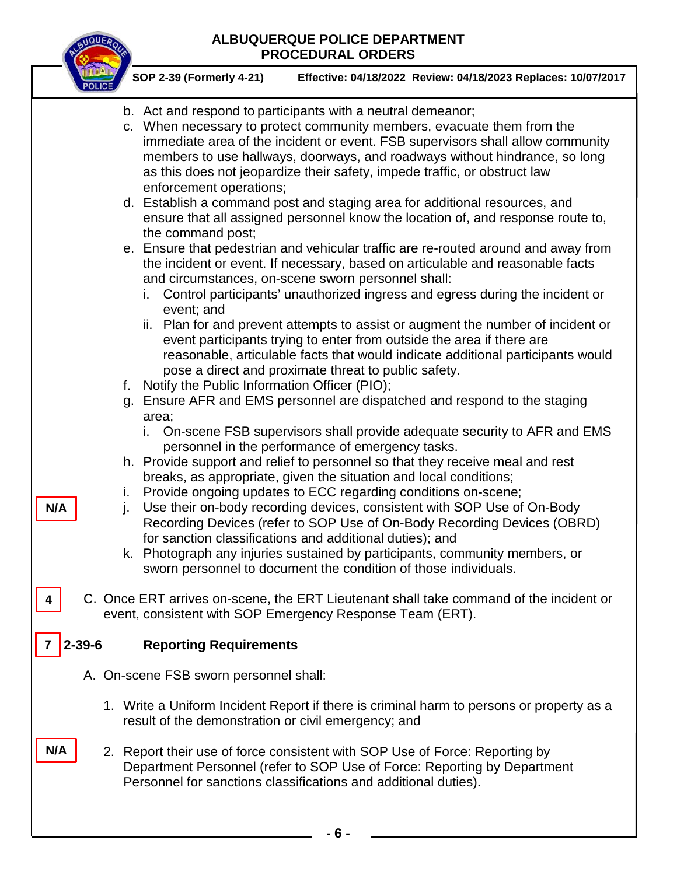

**4**

**7**

 **SOP 2-39 (Formerly 4-21) Effective: 04/18/2022 Review: 04/18/2023 Replaces: 10/07/2017**

- b. Act and respond to participants with a neutral demeanor;
- c. When necessary to protect community members, evacuate them from the immediate area of the incident or event. FSB supervisors shall allow community members to use hallways, doorways, and roadways without hindrance, so long as this does not jeopardize their safety, impede traffic, or obstruct law enforcement operations; d. Establish a command post and staging area for additional resources, and ensure that all assigned personnel know the location of, and response route to, the command post; e. Ensure that pedestrian and vehicular traffic are re-routed around and away from the incident or event. If necessary, based on articulable and reasonable facts and circumstances, on-scene sworn personnel shall: i. Control participants' unauthorized ingress and egress during the incident or event; and ii. Plan for and prevent attempts to assist or augment the number of incident or event participants trying to enter from outside the area if there are reasonable, articulable facts that would indicate additional participants would pose a direct and proximate threat to public safety. f. Notify the Public Information Officer (PIO); g. Ensure AFR and EMS personnel are dispatched and respond to the staging area; i. On-scene FSB supervisors shall provide adequate security to AFR and EMS personnel in the performance of emergency tasks. h. Provide support and relief to personnel so that they receive meal and rest breaks, as appropriate, given the situation and local conditions; i. Provide ongoing updates to ECC regarding conditions on-scene; j. Use their on-body recording devices, consistent with SOP Use of On-Body Recording Devices (refer to SOP Use of On-Body Recording Devices (OBRD) for sanction classifications and additional duties); and k. Photograph any injuries sustained by participants, community members, or sworn personnel to document the condition of those individuals. C. Once ERT arrives on-scene, the ERT Lieutenant shall take command of the incident or event, consistent with SOP Emergency Response Team (ERT). **2-39-6 Reporting Requirements** A. On-scene FSB sworn personnel shall: 1. Write a Uniform Incident Report if there is criminal harm to persons or property as a result of the demonstration or civil emergency; and 2. Report their use of force consistent with SOP Use of Force: Reporting by Department Personnel (refer to SOP Use of Force: Reporting by Department Personnel for sanctions classifications and additional duties). **N/A N/A**